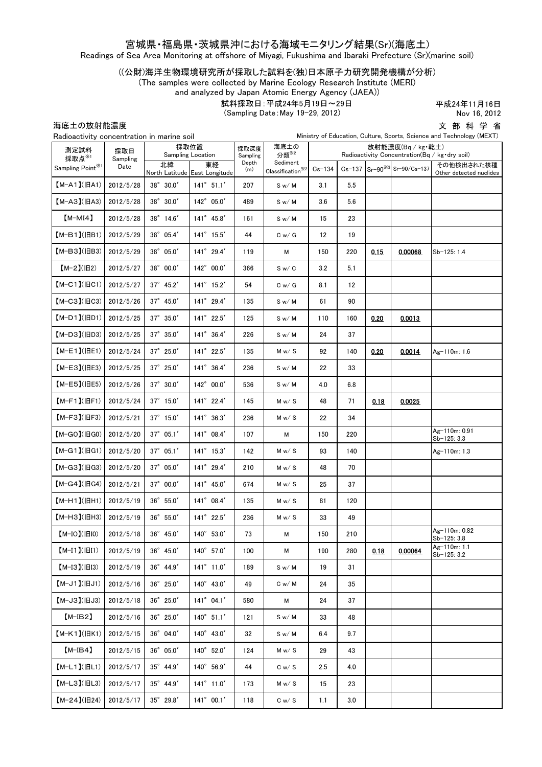## 宮城県・福島県・茨城県沖における海域モニタリング結果(Sr)(海底土)

Readings of Sea Area Monitoring at offshore of Miyagi, Fukushima and Ibaraki Prefecture (Sr)(marine soil)

((公財)海洋生物環境研究所が採取した試料を(独)日本原子力研究開発機構が分析)

(The samples were collected by Marine Ecology Research Institute (MERI)

and analyzed by Japan Atomic Energy Agency (JAEA))

試料採取日:平成24年5月19日~29日

(Sampling Date:May 19-29, 2012)

平成24年11月16日 Nov 16, 2012

海底土の放射能濃度

文 部 科 学 省

| /母/シーソノルヘク」 ロレルベルベ<br>Ministry of Education, Culture, Sports, Science and Technology (MEXT)<br>Radioactivity concentration in marine soil |                         |                           |  |                                     |                  |                                                                              |                                                                      | - 17 |      |                                         |                                       |  |
|-------------------------------------------------------------------------------------------------------------------------------------------|-------------------------|---------------------------|--|-------------------------------------|------------------|------------------------------------------------------------------------------|----------------------------------------------------------------------|------|------|-----------------------------------------|---------------------------------------|--|
| 測定試料<br>採取点※1<br>Sampling $\mathsf{Point}^{\divideontimes 1}$                                                                             | 採取日<br>Sampling<br>Date | 採取位置<br>Sampling Location |  |                                     | 採取深度<br>Sampling | 海底土の<br>分類 <sup>※2</sup>                                                     | 放射能濃度(Bq / kg·乾土)<br>Radioactivity Concentration(Bq / kg · dry soil) |      |      |                                         |                                       |  |
|                                                                                                                                           |                         | 北緯                        |  | 東経<br>North Latitude East Longitude | Depth<br>(m)     | Sediment<br>$\textbf{Classification}^{\textcolor{red}{\tilde{\textbf{X}}2}}$ | $Cs - 134$                                                           |      |      | Cs-137 Sr-90 <sup>38</sup> Sr-90/Cs-137 | その他検出された核種<br>Other detected nuclides |  |
| $[M-A1](HA1)$                                                                                                                             | 2012/5/28               | 38° 30.0'                 |  | $141^{\circ}$ 51.1'                 | 207              | S w/M                                                                        | 3.1                                                                  | 5.5  |      |                                         |                                       |  |
| $[M-A3](HA3)$                                                                                                                             | 2012/5/28               | 38° 30.0'                 |  | 142° 05.0'                          | 489              | S w/M                                                                        | 3.6                                                                  | 5.6  |      |                                         |                                       |  |
| $[M-MI4]$                                                                                                                                 | 2012/5/28               | 38° 14.6'                 |  | 141° 45.8'                          | 161              | S w/M                                                                        | 15                                                                   | 23   |      |                                         |                                       |  |
| $(M-B1)(IBB1)$                                                                                                                            | 2012/5/29               | 38° 05.4'                 |  | 141° 15.5'                          | 44               | C w / G                                                                      | 12                                                                   | 19   |      |                                         |                                       |  |
| $(M-B3)(IBB3)$                                                                                                                            | 2012/5/29               | 38° 05.0'                 |  | 141° 29.4'                          | 119              | М                                                                            | 150                                                                  | 220  | 0.15 | 0.00068                                 | Sb-125: 1.4                           |  |
| $[M-2](H2)$                                                                                                                               | 2012/5/27               | $38^{\circ}$ 00.0'        |  | 142° 00.0'                          | 366              | S w / C                                                                      | 3.2                                                                  | 5.1  |      |                                         |                                       |  |
| $[M-C1]$ ( $ HCl$ )                                                                                                                       | 2012/5/27               | $37^{\circ}$ 45.2'        |  | 141° 15.2'                          | 54               | C w / G                                                                      | 8.1                                                                  | 12   |      |                                         |                                       |  |
| $[M-C3]$ ( $ HC3$ )                                                                                                                       | 2012/5/26               | 37° 45.0'                 |  | 141° 29.4'                          | 135              | S w/M                                                                        | 61                                                                   | 90   |      |                                         |                                       |  |
| $(M-D1)(HD1)$                                                                                                                             | 2012/5/25               | $37^{\circ}$ 35.0'        |  | 141° 22.5'                          | 125              | S w/M                                                                        | 110                                                                  | 160  | 0.20 | 0.0013                                  |                                       |  |
| $(M-D3)(HD3)$                                                                                                                             | 2012/5/25               | 37° 35.0'                 |  | 141° 36.4'                          | 226              | S w/M                                                                        | 24                                                                   | 37   |      |                                         |                                       |  |
| $(M-E1)(HE1)$                                                                                                                             | 2012/5/24               | $37^{\circ}$ 25.0'        |  | 141° 22.5'                          | 135              | M w / S                                                                      | 92                                                                   | 140  | 0.20 | 0.0014                                  | Ag-110m: 1.6                          |  |
| $[M-E3]( EE3)$                                                                                                                            | 2012/5/25               | $37^{\circ}$ 25.0'        |  | 141° 36.4'                          | 236              | S w/M                                                                        | 22                                                                   | 33   |      |                                         |                                       |  |
| 【M-E5】(旧E5)                                                                                                                               | 2012/5/26               | $37^{\circ}$ 30.0'        |  | $142^{\circ}$ 00.0'                 | 536              | S w/M                                                                        | 4.0                                                                  | 6.8  |      |                                         |                                       |  |
| $(M-F1)(HF1)$                                                                                                                             | 2012/5/24               | $37^{\circ}$ 15.0'        |  | $141^{\circ}$ 22.4'                 | 145              | M w / S                                                                      | 48                                                                   | 71   | 0.18 | 0.0025                                  |                                       |  |
| $[M-F3](HF3)$                                                                                                                             | 2012/5/21               | $37^\circ$ 15.0'          |  | $141^{\circ}$ 36.3'                 | 236              | M w / S                                                                      | 22                                                                   | 34   |      |                                         |                                       |  |
| $[M-GO](HGO)$                                                                                                                             | 2012/5/20               | $37^{\circ}$ 05.1'        |  | $141^{\circ}$ 08.4'                 | 107              | М                                                                            | 150                                                                  | 220  |      |                                         | Ag-110m: 0.91<br>Sb-125: 3.3          |  |
| $[M-G1]$ ( $ HG1$ )                                                                                                                       | 2012/5/20               | $37^{\circ}$ 05.1'        |  | $141^{\circ}$ 15.3'                 | 142              | M w / S                                                                      | 93                                                                   | 140  |      |                                         | Ag-110m: 1.3                          |  |
| $[M-G3]$ ( $H$ G3)                                                                                                                        | 2012/5/20               | 37° 05.0'                 |  | 141° 29.4'                          | 210              | M w / S                                                                      | 48                                                                   | 70   |      |                                         |                                       |  |
| $[M-G4](HG4)$                                                                                                                             | 2012/5/21               | $37^{\circ}$ 00.0'        |  | 141° 45.0'                          | 674              | M w / S                                                                      | 25                                                                   | 37   |      |                                         |                                       |  |
| $(M-H1)(HH1)$                                                                                                                             | 2012/5/19               | 36° 55.0'                 |  | 141° 08.4'                          | 135              | M w/ S                                                                       | 81                                                                   | 120  |      |                                         |                                       |  |
| $(M-H3)(HHH3)$                                                                                                                            | 2012/5/19               | $36^\circ$ $55.0'$        |  | 141° 22.5'                          | 236              | M w / S                                                                      | 33                                                                   | 49   |      |                                         |                                       |  |
| $(M-IO)(IBIO)$                                                                                                                            | 2012/5/18               | 36° 45.0'                 |  | 140° 53.0'                          | 73               | м                                                                            | 150                                                                  | 210  |      |                                         | Ag-110m: 0.82<br>$Sb-125: 3.8$        |  |
| $[M-I1](\vert \vert II1)$                                                                                                                 | 2012/5/19               | $36^{\circ}$ 45.0'        |  | 140° 57.0'                          | 100              | М                                                                            | 190                                                                  | 280  | 0.18 | 0.00064                                 | Ag-110m: 1.1<br>Sb-125: 3.2           |  |
| $[M-I3](H13)$                                                                                                                             | 2012/5/19               | $36^{\circ}$ 44.9'        |  | $141^{\circ}$ 11.0'                 | 189              | S w/M                                                                        | 19                                                                   | 31   |      |                                         |                                       |  |
| $(M-J1)(HJ1)$                                                                                                                             | 2012/5/16               | $36^\circ$ $25.0'$        |  | $140^{\circ}$ 43.0'                 | 49               | C w/M                                                                        | 24                                                                   | 35   |      |                                         |                                       |  |
| $[M-J3](HJ3)$                                                                                                                             | 2012/5/18               | $36^{\circ}$ 25.0'        |  | $141^{\circ}$ 04.1'                 | 580              | М                                                                            | 24                                                                   | 37   |      |                                         |                                       |  |
| $[M-IB2]$                                                                                                                                 | 2012/5/16               | $36^{\circ}$ 25.0'        |  | $140^{\circ}$ 51.1'                 | 121              | S w/M                                                                        | 33                                                                   | 48   |      |                                         |                                       |  |
| $[M-K1]$ ( $ BK1$ )                                                                                                                       | 2012/5/15               | $36^{\circ}$ 04.0'        |  | 140° 43.0'                          | 32               | S w/ M                                                                       | 6.4                                                                  | 9.7  |      |                                         |                                       |  |
| $[M-IB4]$                                                                                                                                 | 2012/5/15               | $36^{\circ}$ 05.0'        |  | 140° 52.0'                          | 124              | M w / S                                                                      | 29                                                                   | 43   |      |                                         |                                       |  |
| $[M-L1]( HL1)$                                                                                                                            | 2012/5/17               | $35^{\circ}$ 44.9'        |  | 140° 56.9'                          | 44               | C w / S                                                                      | 2.5                                                                  | 4.0  |      |                                         |                                       |  |
| $[M-L3]$ ( $ HL3$ )                                                                                                                       | 2012/5/17               | $35^{\circ}$ 44.9'        |  | $141^{\circ}$ 11.0'                 | 173              | M w / S                                                                      | 15                                                                   | 23   |      |                                         |                                       |  |
| $[M-24](H24)$                                                                                                                             | 2012/5/17               | $35^{\circ}$ 29.8'        |  | $141^{\circ}$ 00.1'                 | 118              | C w / S                                                                      | 1.1                                                                  | 3.0  |      |                                         |                                       |  |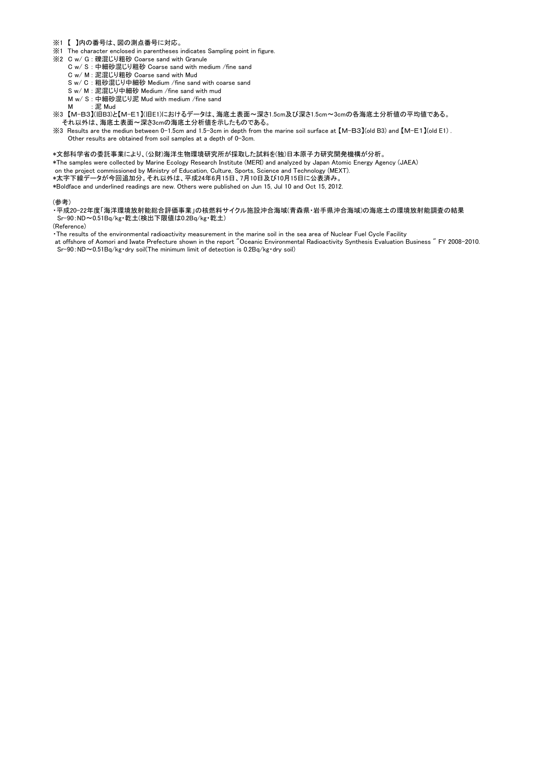- ※1 【 】内の番号は、図の測点番号に対応。
- ※1 The character enclosed in parentheses indicates Sampling point in figure.
- ※2 C w/ G : 礫混じり粗砂 Coarse sand with Granule
	- C w/ S : 中細砂混じり粗砂 Coarse sand with medium /fine sand
	- C w/ M : 泥混じり粗砂 Coarse sand with Mud
	- S w/ C : 粗砂混じり中細砂 Medium /fine sand with coarse sand
	- S w/ M : 泥混じり中細砂 Medium /fine sand with mud
	- M w/ S : 中細砂混じり泥 Mud with medium /fine sand
	- M : 泥 Mud
- ※3 【M-B3】(旧B3)と【M-E1】(旧E1)におけるデータは、海底土表面~深さ1.5cm及び深さ1.5cm~3cmの各海底土分析値の平均値である。 それ以外は、海底土表面~深さ3cmの海底土分析値を示したものである。
- ※3 Results are the mediun between 0-1.5cm and 1.5-3cm in depth from the marine soil surface at 【M-B3】(old B3) and 【M-E1】(old E1) . Other results are obtained from soil samples at a depth of 0-3cm.

### \*文部科学省の委託事業により、(公財)海洋生物環境研究所が採取した試料を(独)日本原子力研究開発機構が分析。

\*The samples were collected by Marine Ecology Research Institute (MERI) and analyzed by Japan Atomic Energy Agency (JAEA)

on the project commissioned by Ministry of Education, Culture, Sports, Science and Technology (MEXT).

\*太字下線データが今回追加分。それ以外は、平成24年6月15日、7月10日及び10月15日に公表済み。

\*Boldface and underlined readings are new. Others were published on Jun 15, Jul 10 and Oct 15, 2012.

#### (参考)

・平成20-22年度「海洋環境放射能総合評価事業」の核燃料サイクル施設沖合海域(青森県・岩手県沖合海域)の海底土の環境放射能調査の結果 Sr-90:ND~0.51Bq/kg・乾土(検出下限値は0.2Bq/kg・乾土)

(Reference)

・The results of the environmental radioactivity measurement in the marine soil in the sea area of Nuclear Fuel Cycle Facility

 at offshore of Aomori and Iwate Prefecture shown in the report "Oceanic Environmental Radioactivity Synthesis Evaluation Business " FY 2008-2010. Sr-90:ND~0.51Bq/kg・dry soil(The minimum limit of detection is 0.2Bq/kg・dry soil)